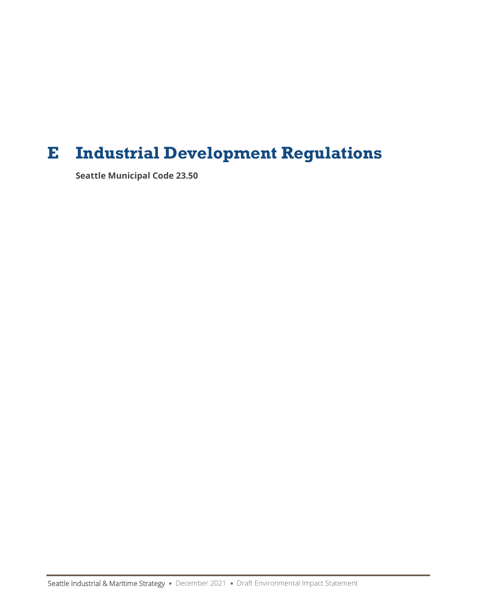# **E Industrial Development Regulations**

**Seattle Municipal Code 23.50**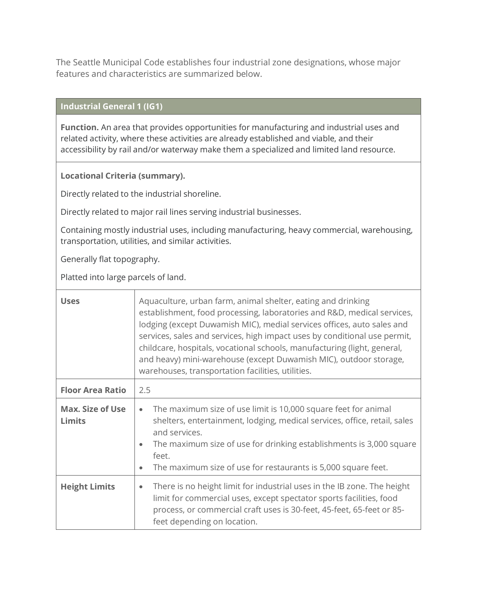The Seattle Municipal Code establishes four industrial zone designations, whose major features and characteristics are summarized below.

# **Industrial General 1 (IG1)**

**Function.** An area that provides opportunities for manufacturing and industrial uses and related activity, where these activities are already established and viable, and their accessibility by rail and/or waterway make them a specialized and limited land resource.

#### **Locational Criteria (summary).**

Directly related to the industrial shoreline.

Directly related to major rail lines serving industrial businesses.

Containing mostly industrial uses, including manufacturing, heavy commercial, warehousing, transportation, utilities, and similar activities.

Generally flat topography.

Platted into large parcels of land.

| <b>Uses</b>                              | Aquaculture, urban farm, animal shelter, eating and drinking<br>establishment, food processing, laboratories and R&D, medical services,<br>lodging (except Duwamish MIC), medial services offices, auto sales and<br>services, sales and services, high impact uses by conditional use permit,<br>childcare, hospitals, vocational schools, manufacturing (light, general,<br>and heavy) mini-warehouse (except Duwamish MIC), outdoor storage,<br>warehouses, transportation facilities, utilities. |  |
|------------------------------------------|------------------------------------------------------------------------------------------------------------------------------------------------------------------------------------------------------------------------------------------------------------------------------------------------------------------------------------------------------------------------------------------------------------------------------------------------------------------------------------------------------|--|
| <b>Floor Area Ratio</b>                  | 2.5                                                                                                                                                                                                                                                                                                                                                                                                                                                                                                  |  |
| <b>Max. Size of Use</b><br><b>Limits</b> | The maximum size of use limit is 10,000 square feet for animal<br>$\bullet$<br>shelters, entertainment, lodging, medical services, office, retail, sales<br>and services.<br>The maximum size of use for drinking establishments is 3,000 square<br>$\bullet$<br>feet.<br>The maximum size of use for restaurants is 5,000 square feet.<br>$\bullet$                                                                                                                                                 |  |
| <b>Height Limits</b>                     | There is no height limit for industrial uses in the IB zone. The height<br>$\bullet$<br>limit for commercial uses, except spectator sports facilities, food<br>process, or commercial craft uses is 30-feet, 45-feet, 65-feet or 85-<br>feet depending on location.                                                                                                                                                                                                                                  |  |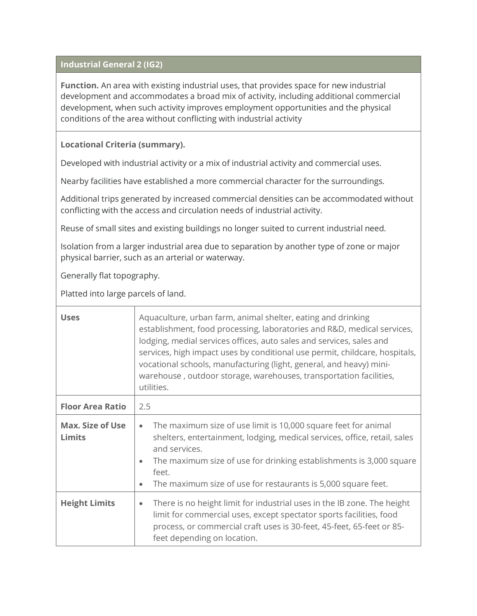#### **Industrial General 2 (IG2)**

**Function.** An area with existing industrial uses, that provides space for new industrial development and accommodates a broad mix of activity, including additional commercial development, when such activity improves employment opportunities and the physical conditions of the area without conflicting with industrial activity

#### **Locational Criteria (summary).**

Developed with industrial activity or a mix of industrial activity and commercial uses.

Nearby facilities have established a more commercial character for the surroundings.

Additional trips generated by increased commercial densities can be accommodated without conflicting with the access and circulation needs of industrial activity.

Reuse of small sites and existing buildings no longer suited to current industrial need.

Isolation from a larger industrial area due to separation by another type of zone or major physical barrier, such as an arterial or waterway.

Generally flat topography.

Platted into large parcels of land.

| <b>Uses</b>                              | Aquaculture, urban farm, animal shelter, eating and drinking<br>establishment, food processing, laboratories and R&D, medical services,<br>lodging, medial services offices, auto sales and services, sales and<br>services, high impact uses by conditional use permit, childcare, hospitals,<br>vocational schools, manufacturing (light, general, and heavy) mini-<br>warehouse, outdoor storage, warehouses, transportation facilities,<br>utilities. |
|------------------------------------------|-----------------------------------------------------------------------------------------------------------------------------------------------------------------------------------------------------------------------------------------------------------------------------------------------------------------------------------------------------------------------------------------------------------------------------------------------------------|
| <b>Floor Area Ratio</b>                  | 2.5                                                                                                                                                                                                                                                                                                                                                                                                                                                       |
| <b>Max. Size of Use</b><br><b>Limits</b> | The maximum size of use limit is 10,000 square feet for animal<br>$\bullet$<br>shelters, entertainment, lodging, medical services, office, retail, sales<br>and services.<br>The maximum size of use for drinking establishments is 3,000 square<br>$\bullet$<br>feet.<br>The maximum size of use for restaurants is 5,000 square feet.<br>$\bullet$                                                                                                      |
| <b>Height Limits</b>                     | There is no height limit for industrial uses in the IB zone. The height<br>$\bullet$<br>limit for commercial uses, except spectator sports facilities, food<br>process, or commercial craft uses is 30-feet, 45-feet, 65-feet or 85-<br>feet depending on location.                                                                                                                                                                                       |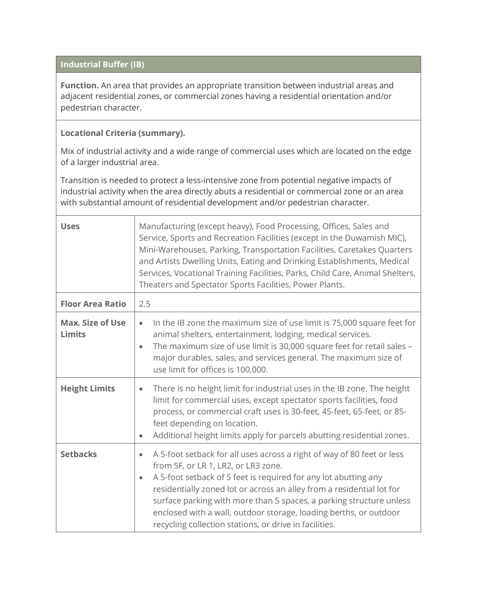# **Industrial Buffer (IB)**

**Function.** An area that provides an appropriate transition between industrial areas and adjacent residential zones, or commercial zones having a residential orientation and/or pedestrian character.

# **Locational Criteria (summary).**

Mix of industrial activity and a wide range of commercial uses which are located on the edge of a larger industrial area.

Transition is needed to protect a less-intensive zone from potential negative impacts of industrial activity when the area directly abuts a residential or commercial zone or an area with substantial amount of residential development and/or pedestrian character.

| <b>Uses</b>                              | Manufacturing (except heavy), Food Processing, Offices, Sales and<br>Service, Sports and Recreation Facilities (except in the Duwamish MIC),<br>Mini-Warehouses, Parking, Transportation Facilities, Caretakes Quarters<br>and Artists Dwelling Units, Eating and Drinking Establishments, Medical<br>Services, Vocational Training Facilities, Parks, Child Care, Animal Shelters,<br>Theaters and Spectator Sports Facilities, Power Plants.                                            |
|------------------------------------------|-------------------------------------------------------------------------------------------------------------------------------------------------------------------------------------------------------------------------------------------------------------------------------------------------------------------------------------------------------------------------------------------------------------------------------------------------------------------------------------------|
| <b>Floor Area Ratio</b>                  | 2.5                                                                                                                                                                                                                                                                                                                                                                                                                                                                                       |
| <b>Max. Size of Use</b><br><b>Limits</b> | In the IB zone the maximum size of use limit is 75,000 square feet for<br>$\bullet$<br>animal shelters, entertainment, lodging, medical services.<br>The maximum size of use limit is 30,000 square feet for retail sales -<br>$\bullet$<br>major durables, sales, and services general. The maximum size of<br>use limit for offices is 100,000.                                                                                                                                         |
| <b>Height Limits</b>                     | There is no height limit for industrial uses in the IB zone. The height<br>$\bullet$<br>limit for commercial uses, except spectator sports facilities, food<br>process, or commercial craft uses is 30-feet, 45-feet, 65-feet, or 85-<br>feet depending on location.<br>Additional height limits apply for parcels abutting residential zones.<br>$\bullet$                                                                                                                               |
| <b>Setbacks</b>                          | A 5-foot setback for all uses across a right of way of 80 feet or less<br>$\bullet$<br>from SF, or LR 1, LR2, or LR3 zone.<br>A 5-foot setback of 5 feet is required for any lot abutting any<br>$\bullet$<br>residentially zoned lot or across an alley from a residential lot for<br>surface parking with more than 5 spaces, a parking structure unless<br>enclosed with a wall, outdoor storage, loading berths, or outdoor<br>recycling collection stations, or drive in facilities. |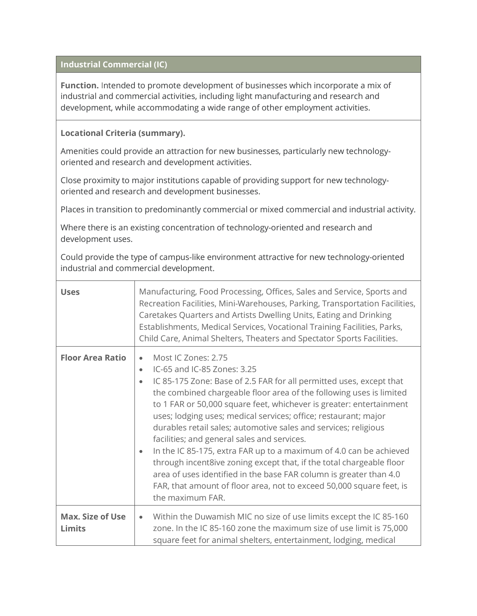### **Industrial Commercial (IC)**

**Function.** Intended to promote development of businesses which incorporate a mix of industrial and commercial activities, including light manufacturing and research and development, while accommodating a wide range of other employment activities.

#### **Locational Criteria (summary).**

Amenities could provide an attraction for new businesses, particularly new technologyoriented and research and development activities.

Close proximity to major institutions capable of providing support for new technologyoriented and research and development businesses.

Places in transition to predominantly commercial or mixed commercial and industrial activity.

Where there is an existing concentration of technology-oriented and research and development uses.

Could provide the type of campus-like environment attractive for new technology-oriented industrial and commercial development.

| <b>Uses</b>                              | Manufacturing, Food Processing, Offices, Sales and Service, Sports and<br>Recreation Facilities, Mini-Warehouses, Parking, Transportation Facilities,<br>Caretakes Quarters and Artists Dwelling Units, Eating and Drinking<br>Establishments, Medical Services, Vocational Training Facilities, Parks,<br>Child Care, Animal Shelters, Theaters and Spectator Sports Facilities.                                                                                                                                                                                                                                                                                                                                                                                                                                                |
|------------------------------------------|----------------------------------------------------------------------------------------------------------------------------------------------------------------------------------------------------------------------------------------------------------------------------------------------------------------------------------------------------------------------------------------------------------------------------------------------------------------------------------------------------------------------------------------------------------------------------------------------------------------------------------------------------------------------------------------------------------------------------------------------------------------------------------------------------------------------------------|
| <b>Floor Area Ratio</b>                  | Most IC Zones: 2.75<br>$\bullet$<br>IC-65 and IC-85 Zones: 3.25<br>$\bullet$<br>IC 85-175 Zone: Base of 2.5 FAR for all permitted uses, except that<br>$\bullet$<br>the combined chargeable floor area of the following uses is limited<br>to 1 FAR or 50,000 square feet, whichever is greater: entertainment<br>uses; lodging uses; medical services; office; restaurant; major<br>durables retail sales; automotive sales and services; religious<br>facilities; and general sales and services.<br>In the IC 85-175, extra FAR up to a maximum of 4.0 can be achieved<br>$\bullet$<br>through incent8ive zoning except that, if the total chargeable floor<br>area of uses identified in the base FAR column is greater than 4.0<br>FAR, that amount of floor area, not to exceed 50,000 square feet, is<br>the maximum FAR. |
| <b>Max. Size of Use</b><br><b>Limits</b> | Within the Duwamish MIC no size of use limits except the IC 85-160<br>$\bullet$<br>zone. In the IC 85-160 zone the maximum size of use limit is 75,000<br>square feet for animal shelters, entertainment, lodging, medical                                                                                                                                                                                                                                                                                                                                                                                                                                                                                                                                                                                                       |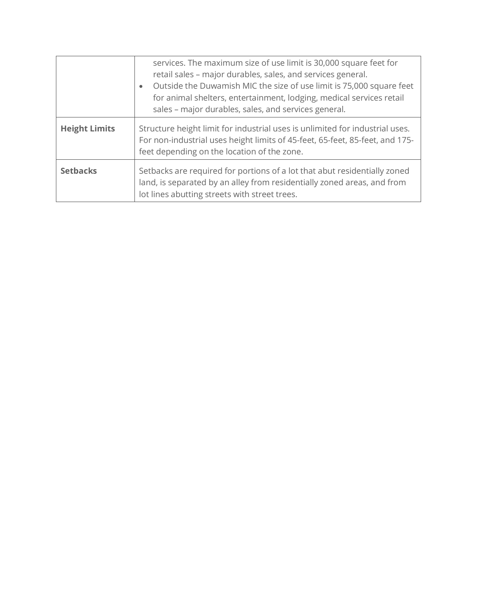|                      | services. The maximum size of use limit is 30,000 square feet for<br>retail sales - major durables, sales, and services general.<br>Outside the Duwamish MIC the size of use limit is 75,000 square feet<br>$\bullet$<br>for animal shelters, entertainment, lodging, medical services retail<br>sales - major durables, sales, and services general. |
|----------------------|-------------------------------------------------------------------------------------------------------------------------------------------------------------------------------------------------------------------------------------------------------------------------------------------------------------------------------------------------------|
| <b>Height Limits</b> | Structure height limit for industrial uses is unlimited for industrial uses.<br>For non-industrial uses height limits of 45-feet, 65-feet, 85-feet, and 175-<br>feet depending on the location of the zone.                                                                                                                                           |
| <b>Setbacks</b>      | Setbacks are required for portions of a lot that abut residentially zoned<br>land, is separated by an alley from residentially zoned areas, and from<br>lot lines abutting streets with street trees.                                                                                                                                                 |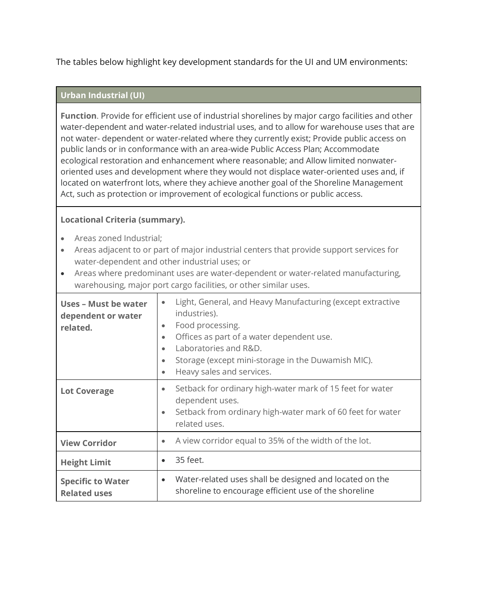The tables below highlight key development standards for the UI and UM environments:

#### **Urban Industrial (UI)**

**Function**. Provide for efficient use of industrial shorelines by major cargo facilities and other water-dependent and water-related industrial uses, and to allow for warehouse uses that are not water- dependent or water-related where they currently exist; Provide public access on public lands or in conformance with an area-wide Public Access Plan; Accommodate ecological restoration and enhancement where reasonable; and Allow limited nonwateroriented uses and development where they would not displace water-oriented uses and, if located on waterfront lots, where they achieve another goal of the Shoreline Management Act, such as protection or improvement of ecological functions or public access.

### **Locational Criteria (summary).**

- Areas zoned Industrial;
- Areas adjacent to or part of major industrial centers that provide support services for water-dependent and other industrial uses; or
- Areas where predominant uses are water-dependent or water-related manufacturing, warehousing, major port cargo facilities, or other similar uses.

| Uses - Must be water<br>dependent or water<br>related. | Light, General, and Heavy Manufacturing (except extractive<br>industries).<br>Food processing.<br>$\bullet$<br>Offices as part of a water dependent use.<br>$\bullet$<br>Laboratories and R&D.<br>$\bullet$<br>Storage (except mini-storage in the Duwamish MIC).<br>$\bullet$<br>Heavy sales and services.<br>$\bullet$ |
|--------------------------------------------------------|--------------------------------------------------------------------------------------------------------------------------------------------------------------------------------------------------------------------------------------------------------------------------------------------------------------------------|
| <b>Lot Coverage</b>                                    | Setback for ordinary high-water mark of 15 feet for water<br>$\bullet$<br>dependent uses.<br>Setback from ordinary high-water mark of 60 feet for water<br>$\bullet$<br>related uses.                                                                                                                                    |
| <b>View Corridor</b>                                   | A view corridor equal to 35% of the width of the lot.<br>$\bullet$                                                                                                                                                                                                                                                       |
| <b>Height Limit</b>                                    | 35 feet.<br>$\bullet$                                                                                                                                                                                                                                                                                                    |
| <b>Specific to Water</b><br><b>Related uses</b>        | Water-related uses shall be designed and located on the<br>$\bullet$<br>shoreline to encourage efficient use of the shoreline                                                                                                                                                                                            |